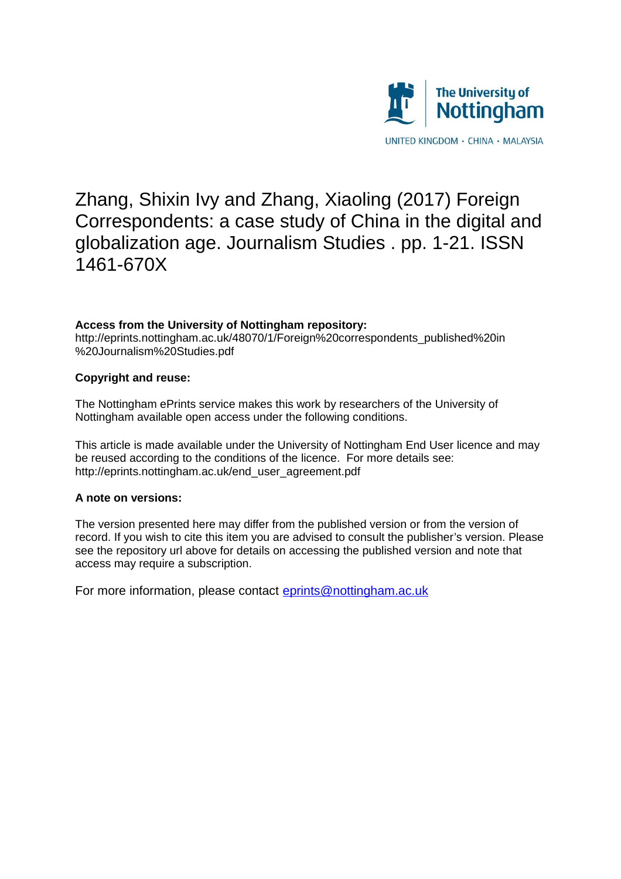

# Zhang, Shixin Ivy and Zhang, Xiaoling (2017) Foreign Correspondents: a case study of China in the digital and globalization age. Journalism Studies . pp. 1-21. ISSN 1461-670X

# **Access from the University of Nottingham repository:**

http://eprints.nottingham.ac.uk/48070/1/Foreign%20correspondents\_published%20in %20Journalism%20Studies.pdf

# **Copyright and reuse:**

The Nottingham ePrints service makes this work by researchers of the University of Nottingham available open access under the following conditions.

This article is made available under the University of Nottingham End User licence and may be reused according to the conditions of the licence. For more details see: http://eprints.nottingham.ac.uk/end\_user\_agreement.pdf

# **A note on versions:**

The version presented here may differ from the published version or from the version of record. If you wish to cite this item you are advised to consult the publisher's version. Please see the repository url above for details on accessing the published version and note that access may require a subscription.

For more information, please contact [eprints@nottingham.ac.uk](mailto:eprints@nottingham.ac.uk)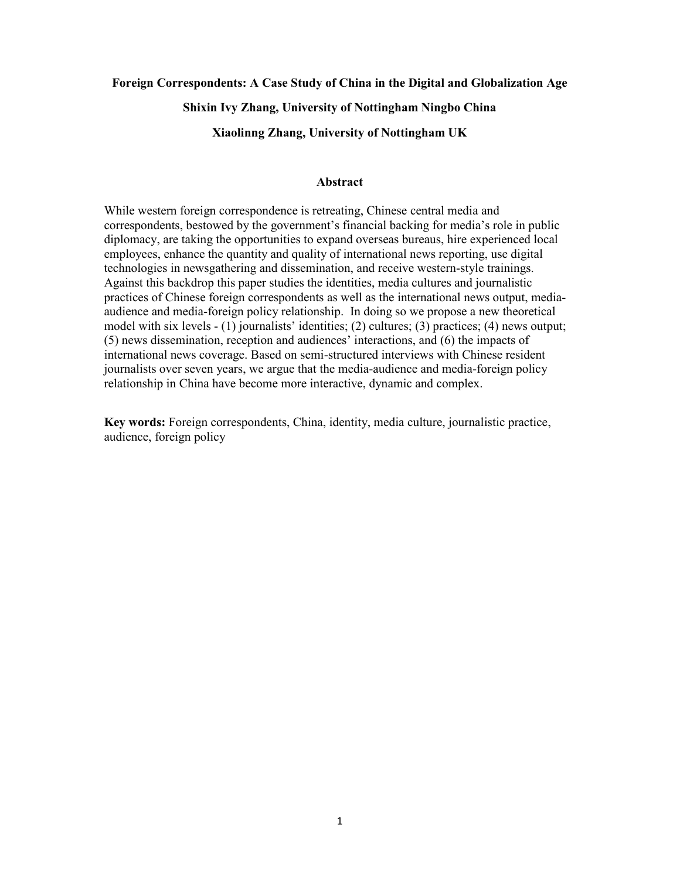# **Foreign Correspondents: A Case Study of China in the Digital and Globalization Age Shixin Ivy Zhang, University of Nottingham Ningbo China Xiaolinng Zhang, University of Nottingham UK**

## **Abstract**

While western foreign correspondence is retreating, Chinese central media and correspondents, bestowed by the government's financial backing for media's role in public diplomacy, are taking the opportunities to expand overseas bureaus, hire experienced local employees, enhance the quantity and quality of international news reporting, use digital technologies in newsgathering and dissemination, and receive western-style trainings. Against this backdrop this paper studies the identities, media cultures and journalistic practices of Chinese foreign correspondents as well as the international news output, mediaaudience and media-foreign policy relationship. In doing so we propose a new theoretical model with six levels - (1) journalists' identities; (2) cultures; (3) practices; (4) news output; (5) news dissemination, reception and audiences' interactions, and (6) the impacts of international news coverage. Based on semi-structured interviews with Chinese resident journalists over seven years, we argue that the media-audience and media-foreign policy relationship in China have become more interactive, dynamic and complex.

**Key words:** Foreign correspondents, China, identity, media culture, journalistic practice, audience, foreign policy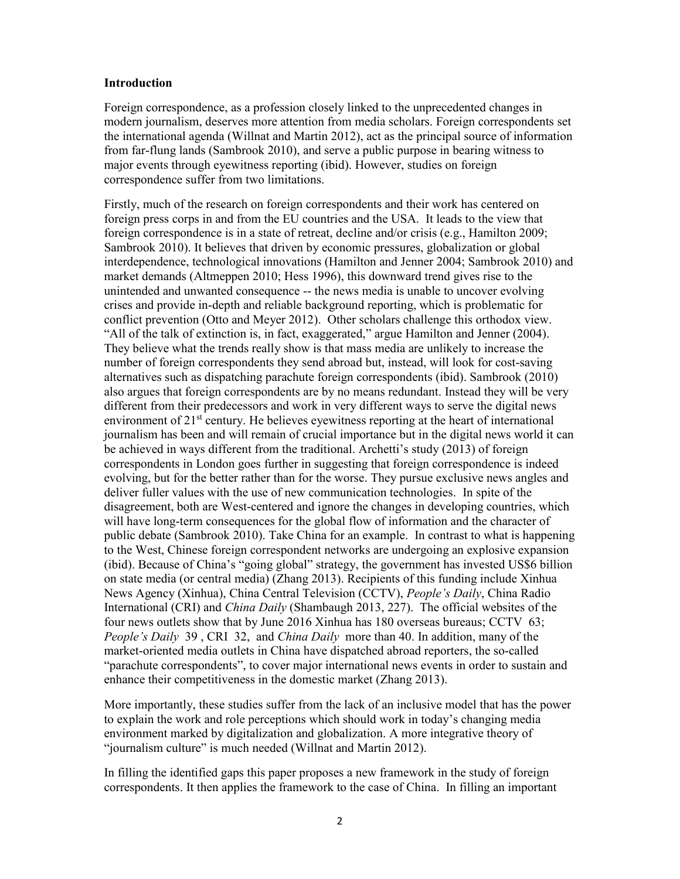### **Introduction**

Foreign correspondence, as a profession closely linked to the unprecedented changes in modern journalism, deserves more attention from media scholars. Foreign correspondents set the international agenda (Willnat and Martin 2012), act as the principal source of information from far-flung lands (Sambrook 2010), and serve a public purpose in bearing witness to major events through eyewitness reporting (ibid). However, studies on foreign correspondence suffer from two limitations.

Firstly, much of the research on foreign correspondents and their work has centered on foreign press corps in and from the EU countries and the USA. It leads to the view that foreign correspondence is in a state of retreat, decline and/or crisis (e.g., Hamilton 2009; Sambrook 2010). It believes that driven by economic pressures, globalization or global interdependence, technological innovations (Hamilton and Jenner 2004; Sambrook 2010) and market demands (Altmeppen 2010; Hess 1996), this downward trend gives rise to the unintended and unwanted consequence -- the news media is unable to uncover evolving crises and provide in-depth and reliable background reporting, which is problematic for conflict prevention (Otto and Meyer 2012). Other scholars challenge this orthodox view. "All of the talk of extinction is, in fact, exaggerated," argue Hamilton and Jenner (2004). They believe what the trends really show is that mass media are unlikely to increase the number of foreign correspondents they send abroad but, instead, will look for cost-saving alternatives such as dispatching parachute foreign correspondents (ibid). Sambrook (2010) also argues that foreign correspondents are by no means redundant. Instead they will be very different from their predecessors and work in very different ways to serve the digital news environment of  $21<sup>st</sup>$  century. He believes eyewitness reporting at the heart of international journalism has been and will remain of crucial importance but in the digital news world it can be achieved in ways different from the traditional. Archetti's study (2013) of foreign correspondents in London goes further in suggesting that foreign correspondence is indeed evolving, but for the better rather than for the worse. They pursue exclusive news angles and deliver fuller values with the use of new communication technologies. In spite of the disagreement, both are West-centered and ignore the changes in developing countries, which will have long-term consequences for the global flow of information and the character of public debate (Sambrook 2010). Take China for an example. In contrast to what is happening to the West, Chinese foreign correspondent networks are undergoing an explosive expansion (ibid). Because of China's "going global" strategy, the government has invested US\$6 billion on state media (or central media) (Zhang 2013). Recipients of this funding include Xinhua News Agency (Xinhua), China Central Television (CCTV), *People's Daily*, China Radio International (CRI) and *China Daily* (Shambaugh 2013, 227). The official websites of the four news outlets show that by June 2016 Xinhua has 180 overseas bureaus; CCTV 63; *People's Daily* 39 , CRI 32, and *China Daily* more than 40. In addition, many of the market-oriented media outlets in China have dispatched abroad reporters, the so-called "parachute correspondents", to cover major international news events in order to sustain and enhance their competitiveness in the domestic market (Zhang 2013).

More importantly, these studies suffer from the lack of an inclusive model that has the power to explain the work and role perceptions which should work in today's changing media environment marked by digitalization and globalization. A more integrative theory of "journalism culture" is much needed (Willnat and Martin 2012).

In filling the identified gaps this paper proposes a new framework in the study of foreign correspondents. It then applies the framework to the case of China. In filling an important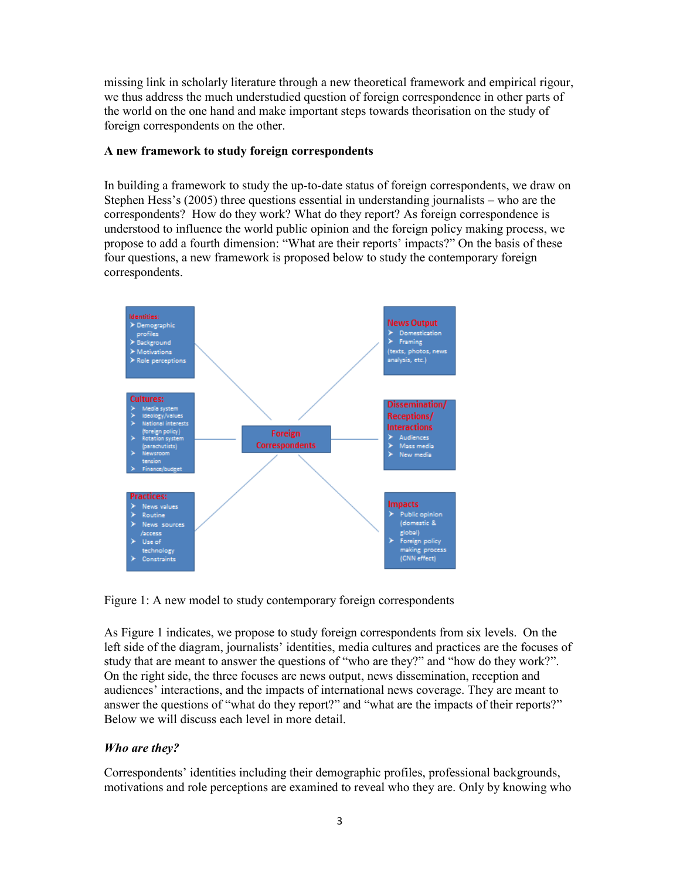missing link in scholarly literature through a new theoretical framework and empirical rigour, we thus address the much understudied question of foreign correspondence in other parts of the world on the one hand and make important steps towards theorisation on the study of foreign correspondents on the other.

# **A new framework to study foreign correspondents**

In building a framework to study the up-to-date status of foreign correspondents, we draw on Stephen Hess's (2005) three questions essential in understanding journalists – who are the correspondents? How do they work? What do they report? As foreign correspondence is understood to influence the world public opinion and the foreign policy making process, we propose to add a fourth dimension: "What are their reports' impacts?" On the basis of these four questions, a new framework is proposed below to study the contemporary foreign correspondents.



Figure 1: A new model to study contemporary foreign correspondents

As Figure 1 indicates, we propose to study foreign correspondents from six levels. On the left side of the diagram, journalists' identities, media cultures and practices are the focuses of study that are meant to answer the questions of "who are they?" and "how do they work?". On the right side, the three focuses are news output, news dissemination, reception and audiences' interactions, and the impacts of international news coverage. They are meant to answer the questions of "what do they report?" and "what are the impacts of their reports?" Below we will discuss each level in more detail.

# *Who are they?*

Correspondents' identities including their demographic profiles, professional backgrounds, motivations and role perceptions are examined to reveal who they are. Only by knowing who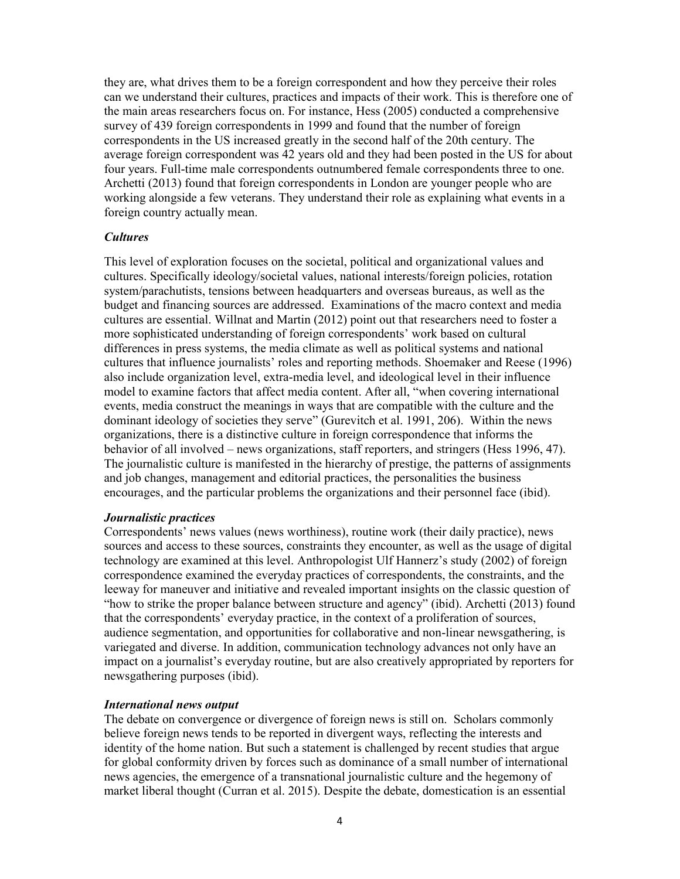they are, what drives them to be a foreign correspondent and how they perceive their roles can we understand their cultures, practices and impacts of their work. This is therefore one of the main areas researchers focus on. For instance, Hess (2005) conducted a comprehensive survey of 439 foreign correspondents in 1999 and found that the number of foreign correspondents in the US increased greatly in the second half of the 20th century. The average foreign correspondent was 42 years old and they had been posted in the US for about four years. Full-time male correspondents outnumbered female correspondents three to one. Archetti (2013) found that foreign correspondents in London are younger people who are working alongside a few veterans. They understand their role as explaining what events in a foreign country actually mean.

## *Cultures*

This level of exploration focuses on the societal, political and organizational values and cultures. Specifically ideology/societal values, national interests/foreign policies, rotation system/parachutists, tensions between headquarters and overseas bureaus, as well as the budget and financing sources are addressed. Examinations of the macro context and media cultures are essential. Willnat and Martin (2012) point out that researchers need to foster a more sophisticated understanding of foreign correspondents' work based on cultural differences in press systems, the media climate as well as political systems and national cultures that influence journalists' roles and reporting methods. Shoemaker and Reese (1996) also include organization level, extra-media level, and ideological level in their influence model to examine factors that affect media content. After all, "when covering international events, media construct the meanings in ways that are compatible with the culture and the dominant ideology of societies they serve" (Gurevitch et al. 1991, 206). Within the news organizations, there is a distinctive culture in foreign correspondence that informs the behavior of all involved – news organizations, staff reporters, and stringers (Hess 1996, 47). The journalistic culture is manifested in the hierarchy of prestige, the patterns of assignments and job changes, management and editorial practices, the personalities the business encourages, and the particular problems the organizations and their personnel face (ibid).

### *Journalistic practices*

Correspondents' news values (news worthiness), routine work (their daily practice), news sources and access to these sources, constraints they encounter, as well as the usage of digital technology are examined at this level. Anthropologist Ulf Hannerz's study (2002) of foreign correspondence examined the everyday practices of correspondents, the constraints, and the leeway for maneuver and initiative and revealed important insights on the classic question of "how to strike the proper balance between structure and agency" (ibid). Archetti (2013) found that the correspondents' everyday practice, in the context of a proliferation of sources, audience segmentation, and opportunities for collaborative and non-linear newsgathering, is variegated and diverse. In addition, communication technology advances not only have an impact on a journalist's everyday routine, but are also creatively appropriated by reporters for newsgathering purposes (ibid).

#### *International news output*

The debate on convergence or divergence of foreign news is still on. Scholars commonly believe foreign news tends to be reported in divergent ways, reflecting the interests and identity of the home nation. But such a statement is challenged by recent studies that argue for global conformity driven by forces such as dominance of a small number of international news agencies, the emergence of a transnational journalistic culture and the hegemony of market liberal thought (Curran et al. 2015). Despite the debate, domestication is an essential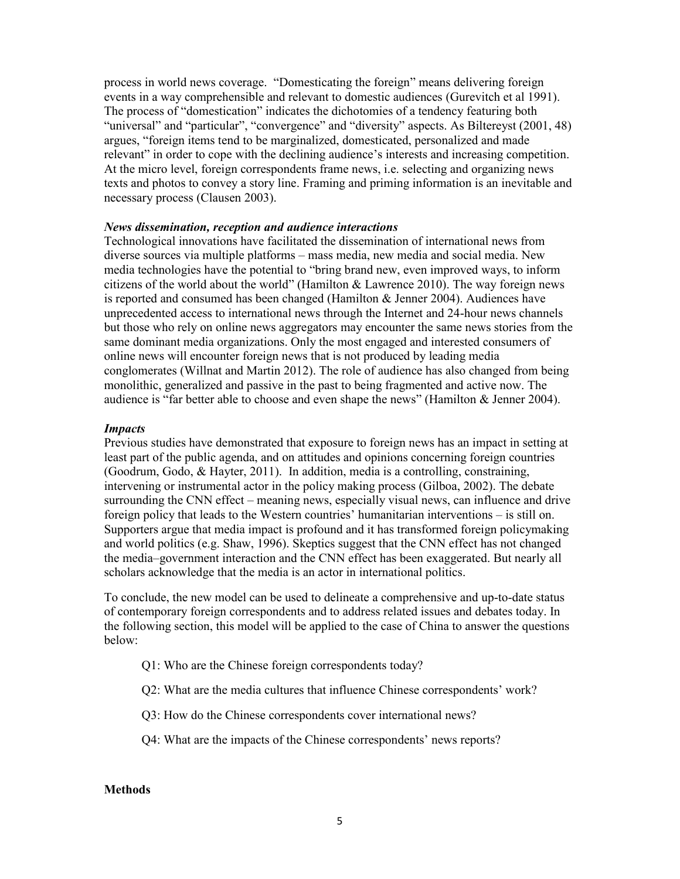process in world news coverage. "Domesticating the foreign" means delivering foreign events in a way comprehensible and relevant to domestic audiences (Gurevitch et al 1991). The process of "domestication" indicates the dichotomies of a tendency featuring both "universal" and "particular", "convergence" and "diversity" aspects. As Biltereyst (2001, 48) argues, "foreign items tend to be marginalized, domesticated, personalized and made relevant" in order to cope with the declining audience's interests and increasing competition. At the micro level, foreign correspondents frame news, i.e. selecting and organizing news texts and photos to convey a story line. Framing and priming information is an inevitable and necessary process (Clausen 2003).

## *News dissemination, reception and audience interactions*

Technological innovations have facilitated the dissemination of international news from diverse sources via multiple platforms – mass media, new media and social media. New media technologies have the potential to "bring brand new, even improved ways, to inform citizens of the world about the world" (Hamilton  $&$  Lawrence 2010). The way foreign news is reported and consumed has been changed (Hamilton  $\&$  Jenner 2004). Audiences have unprecedented access to international news through the Internet and 24-hour news channels but those who rely on online news aggregators may encounter the same news stories from the same dominant media organizations. Only the most engaged and interested consumers of online news will encounter foreign news that is not produced by leading media conglomerates (Willnat and Martin 2012). The role of audience has also changed from being monolithic, generalized and passive in the past to being fragmented and active now. The audience is "far better able to choose and even shape the news" (Hamilton & Jenner 2004).

#### *Impacts*

Previous studies have demonstrated that exposure to foreign news has an impact in setting at least part of the public agenda, and on attitudes and opinions concerning foreign countries (Goodrum, Godo, & Hayter, 2011). In addition, media is a controlling, constraining, intervening or instrumental actor in the policy making process (Gilboa, 2002). The debate surrounding the CNN effect – meaning news, especially visual news, can influence and drive foreign policy that leads to the Western countries' humanitarian interventions – is still on. Supporters argue that media impact is profound and it has transformed foreign policymaking and world politics (e.g. Shaw, 1996). Skeptics suggest that the CNN effect has not changed the media–government interaction and the CNN effect has been exaggerated. But nearly all scholars acknowledge that the media is an actor in international politics.

To conclude, the new model can be used to delineate a comprehensive and up-to-date status of contemporary foreign correspondents and to address related issues and debates today. In the following section, this model will be applied to the case of China to answer the questions below:

Q1: Who are the Chinese foreign correspondents today?

Q2: What are the media cultures that influence Chinese correspondents' work?

Q3: How do the Chinese correspondents cover international news?

Q4: What are the impacts of the Chinese correspondents' news reports?

#### **Methods**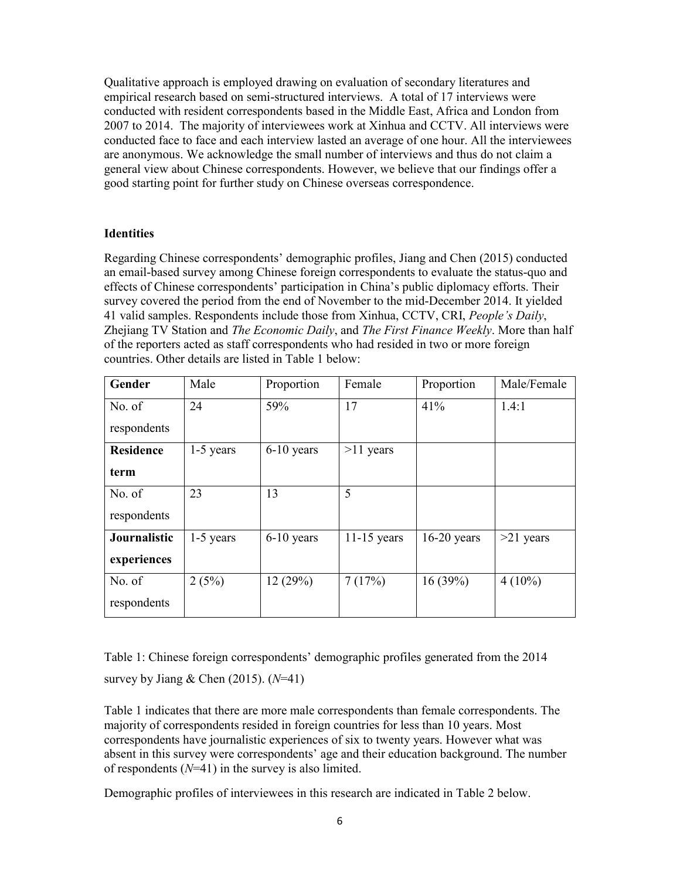Qualitative approach is employed drawing on evaluation of secondary literatures and empirical research based on semi-structured interviews. A total of 17 interviews were conducted with resident correspondents based in the Middle East, Africa and London from 2007 to 2014. The majority of interviewees work at Xinhua and CCTV. All interviews were conducted face to face and each interview lasted an average of one hour. All the interviewees are anonymous. We acknowledge the small number of interviews and thus do not claim a general view about Chinese correspondents. However, we believe that our findings offer a good starting point for further study on Chinese overseas correspondence.

## **Identities**

Regarding Chinese correspondents' demographic profiles, Jiang and Chen (2015) conducted an email-based survey among Chinese foreign correspondents to evaluate the status-quo and effects of Chinese correspondents' participation in China's public diplomacy efforts. Their survey covered the period from the end of November to the mid-December 2014. It yielded 41 valid samples. Respondents include those from Xinhua, CCTV, CRI, *People's Daily*, Zhejiang TV Station and *The Economic Daily*, and *The First Finance Weekly*. More than half of the reporters acted as staff correspondents who had resided in two or more foreign countries. Other details are listed in Table 1 below:

| Gender           | Male        | Proportion | Female        | Proportion    | Male/Female |
|------------------|-------------|------------|---------------|---------------|-------------|
| No. of           | 24          | 59%        | 17            | 41%           | 1.4:1       |
| respondents      |             |            |               |               |             |
| <b>Residence</b> | $1-5$ years | 6-10 years | $>11$ years   |               |             |
| term             |             |            |               |               |             |
| No. of           | 23          | 13         | 5             |               |             |
| respondents      |             |            |               |               |             |
| Journalistic     | $1-5$ years | 6-10 years | $11-15$ years | $16-20$ years | $>21$ years |
| experiences      |             |            |               |               |             |
| No. of           | 2(5%)       | 12(29%)    | 7(17%)        | 16(39%)       | $4(10\%)$   |
| respondents      |             |            |               |               |             |

Table 1: Chinese foreign correspondents' demographic profiles generated from the 2014 survey by Jiang & Chen (2015). (*N*=41)

Table 1 indicates that there are more male correspondents than female correspondents. The majority of correspondents resided in foreign countries for less than 10 years. Most correspondents have journalistic experiences of six to twenty years. However what was absent in this survey were correspondents' age and their education background. The number of respondents (*N*=41) in the survey is also limited.

Demographic profiles of interviewees in this research are indicated in Table 2 below.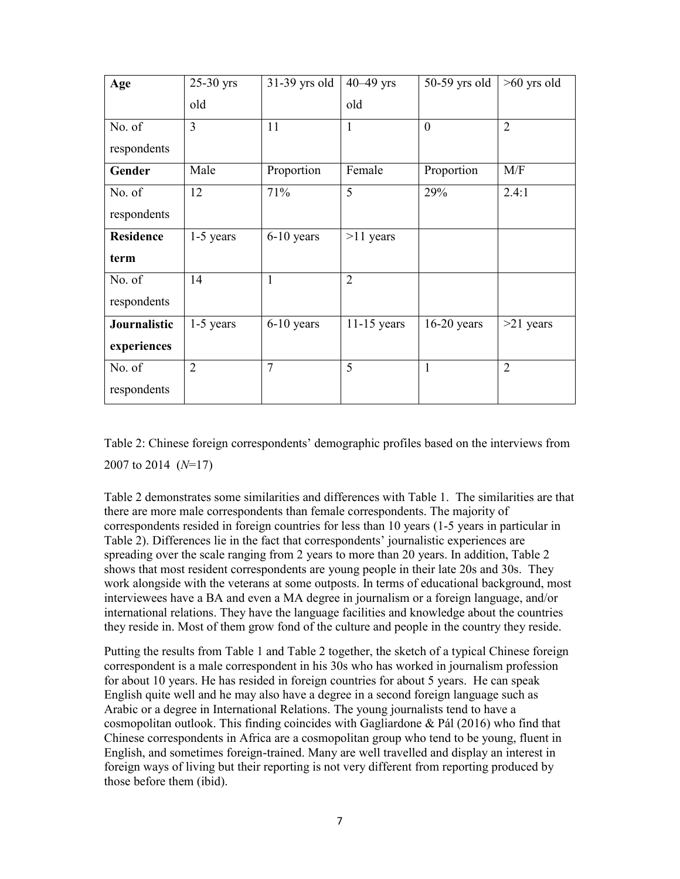| Age              | $25-30$ yrs    | 31-39 yrs old  | $40-49$ yrs    | 50-59 yrs old  | $>60$ yrs old  |
|------------------|----------------|----------------|----------------|----------------|----------------|
|                  | old            |                | old            |                |                |
| No. of           | 3              | 11             | 1              | $\overline{0}$ | $\overline{2}$ |
| respondents      |                |                |                |                |                |
| Gender           | Male           | Proportion     | Female         | Proportion     | M/F            |
| No. of           | 12             | 71%            | 5              | 29%            | 2.4:1          |
| respondents      |                |                |                |                |                |
| <b>Residence</b> | 1-5 years      | $6-10$ years   | $>11$ years    |                |                |
| term             |                |                |                |                |                |
| No. of           | 14             | $\mathbf{1}$   | $\overline{2}$ |                |                |
| respondents      |                |                |                |                |                |
| Journalistic     | $1-5$ years    | $6-10$ years   | $11-15$ years  | $16-20$ years  | $>21$ years    |
| experiences      |                |                |                |                |                |
| No. of           | $\overline{2}$ | $\overline{7}$ | 5              | $\mathbf{1}$   | $\overline{2}$ |
| respondents      |                |                |                |                |                |

Table 2: Chinese foreign correspondents' demographic profiles based on the interviews from 2007 to 2014 (*N*=17)

Table 2 demonstrates some similarities and differences with Table 1. The similarities are that there are more male correspondents than female correspondents. The majority of correspondents resided in foreign countries for less than 10 years (1-5 years in particular in Table 2). Differences lie in the fact that correspondents' journalistic experiences are spreading over the scale ranging from 2 years to more than 20 years. In addition, Table 2 shows that most resident correspondents are young people in their late 20s and 30s. They work alongside with the veterans at some outposts. In terms of educational background, most interviewees have a BA and even a MA degree in journalism or a foreign language, and/or international relations. They have the language facilities and knowledge about the countries they reside in. Most of them grow fond of the culture and people in the country they reside.

Putting the results from Table 1 and Table 2 together, the sketch of a typical Chinese foreign correspondent is a male correspondent in his 30s who has worked in journalism profession for about 10 years. He has resided in foreign countries for about 5 years. He can speak English quite well and he may also have a degree in a second foreign language such as Arabic or a degree in International Relations. The young journalists tend to have a cosmopolitan outlook. This finding coincides with Gagliardone  $\&$  Pál (2016) who find that Chinese correspondents in Africa are a cosmopolitan group who tend to be young, fluent in English, and sometimes foreign-trained. Many are well travelled and display an interest in foreign ways of living but their reporting is not very different from reporting produced by those before them (ibid).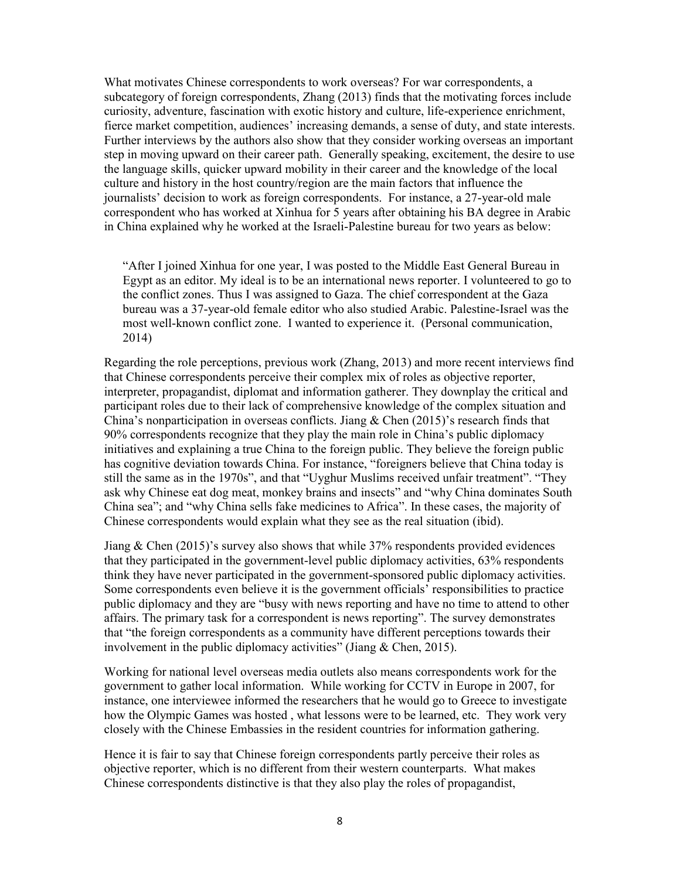What motivates Chinese correspondents to work overseas? For war correspondents, a subcategory of foreign correspondents, Zhang (2013) finds that the motivating forces include curiosity, adventure, fascination with exotic history and culture, life-experience enrichment, fierce market competition, audiences' increasing demands, a sense of duty, and state interests. Further interviews by the authors also show that they consider working overseas an important step in moving upward on their career path. Generally speaking, excitement, the desire to use the language skills, quicker upward mobility in their career and the knowledge of the local culture and history in the host country/region are the main factors that influence the journalists' decision to work as foreign correspondents. For instance, a 27-year-old male correspondent who has worked at Xinhua for 5 years after obtaining his BA degree in Arabic in China explained why he worked at the Israeli-Palestine bureau for two years as below:

"After I joined Xinhua for one year, I was posted to the Middle East General Bureau in Egypt as an editor. My ideal is to be an international news reporter. I volunteered to go to the conflict zones. Thus I was assigned to Gaza. The chief correspondent at the Gaza bureau was a 37-year-old female editor who also studied Arabic. Palestine-Israel was the most well-known conflict zone. I wanted to experience it. (Personal communication, 2014)

Regarding the role perceptions, previous work (Zhang, 2013) and more recent interviews find that Chinese correspondents perceive their complex mix of roles as objective reporter, interpreter, propagandist, diplomat and information gatherer. They downplay the critical and participant roles due to their lack of comprehensive knowledge of the complex situation and China's nonparticipation in overseas conflicts. Jiang & Chen  $(2015)$ 's research finds that 90% correspondents recognize that they play the main role in China's public diplomacy initiatives and explaining a true China to the foreign public. They believe the foreign public has cognitive deviation towards China. For instance, "foreigners believe that China today is still the same as in the 1970s", and that "Uyghur Muslims received unfair treatment". "They ask why Chinese eat dog meat, monkey brains and insects" and "why China dominates South China sea"; and "why China sells fake medicines to Africa". In these cases, the majority of Chinese correspondents would explain what they see as the real situation (ibid).

Jiang & Chen (2015)'s survey also shows that while 37% respondents provided evidences that they participated in the government-level public diplomacy activities, 63% respondents think they have never participated in the government-sponsored public diplomacy activities. Some correspondents even believe it is the government officials' responsibilities to practice public diplomacy and they are "busy with news reporting and have no time to attend to other affairs. The primary task for a correspondent is news reporting". The survey demonstrates that "the foreign correspondents as a community have different perceptions towards their involvement in the public diplomacy activities" (Jiang & Chen, 2015).

Working for national level overseas media outlets also means correspondents work for the government to gather local information. While working for CCTV in Europe in 2007, for instance, one interviewee informed the researchers that he would go to Greece to investigate how the Olympic Games was hosted , what lessons were to be learned, etc. They work very closely with the Chinese Embassies in the resident countries for information gathering.

Hence it is fair to say that Chinese foreign correspondents partly perceive their roles as objective reporter, which is no different from their western counterparts. What makes Chinese correspondents distinctive is that they also play the roles of propagandist,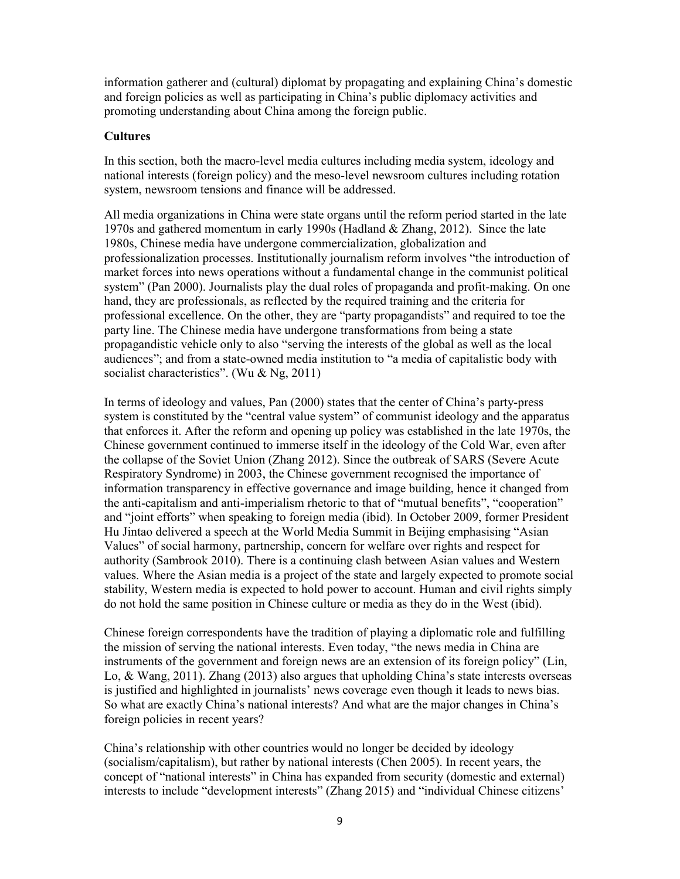information gatherer and (cultural) diplomat by propagating and explaining China's domestic and foreign policies as well as participating in China's public diplomacy activities and promoting understanding about China among the foreign public.

## **Cultures**

In this section, both the macro-level media cultures including media system, ideology and national interests (foreign policy) and the meso-level newsroom cultures including rotation system, newsroom tensions and finance will be addressed.

All media organizations in China were state organs until the reform period started in the late 1970s and gathered momentum in early 1990s (Hadland & Zhang, 2012). Since the late 1980s, Chinese media have undergone commercialization, globalization and professionalization processes. Institutionally journalism reform involves "the introduction of market forces into news operations without a fundamental change in the communist political system" (Pan 2000). Journalists play the dual roles of propaganda and profit-making. On one hand, they are professionals, as reflected by the required training and the criteria for professional excellence. On the other, they are "party propagandists" and required to toe the party line. The Chinese media have undergone transformations from being a state propagandistic vehicle only to also "serving the interests of the global as well as the local audiences"; and from a state-owned media institution to "a media of capitalistic body with socialist characteristics". (Wu & Ng, 2011)

In terms of ideology and values, Pan (2000) states that the center of China's party-press system is constituted by the "central value system" of communist ideology and the apparatus that enforces it. After the reform and opening up policy was established in the late 1970s, the Chinese government continued to immerse itself in the ideology of the Cold War, even after the collapse of the Soviet Union (Zhang 2012). Since the outbreak of SARS (Severe Acute Respiratory Syndrome) in 2003, the Chinese government recognised the importance of information transparency in effective governance and image building, hence it changed from the anti-capitalism and anti-imperialism rhetoric to that of "mutual benefits", "cooperation" and "joint efforts" when speaking to foreign media (ibid). In October 2009, former President Hu Jintao delivered a speech at the World Media Summit in Beijing emphasising "Asian Values" of social harmony, partnership, concern for welfare over rights and respect for authority (Sambrook 2010). There is a continuing clash between Asian values and Western values. Where the Asian media is a project of the state and largely expected to promote social stability, Western media is expected to hold power to account. Human and civil rights simply do not hold the same position in Chinese culture or media as they do in the West (ibid).

Chinese foreign correspondents have the tradition of playing a diplomatic role and fulfilling the mission of serving the national interests. Even today, "the news media in China are instruments of the government and foreign news are an extension of its foreign policy" (Lin, Lo, & Wang, 2011). Zhang (2013) also argues that upholding China's state interests overseas is justified and highlighted in journalists' news coverage even though it leads to news bias. So what are exactly China's national interests? And what are the major changes in China's foreign policies in recent years?

China's relationship with other countries would no longer be decided by ideology (socialism/capitalism), but rather by national interests (Chen 2005). In recent years, the concept of "national interests" in China has expanded from security (domestic and external) interests to include "development interests" (Zhang 2015) and "individual Chinese citizens'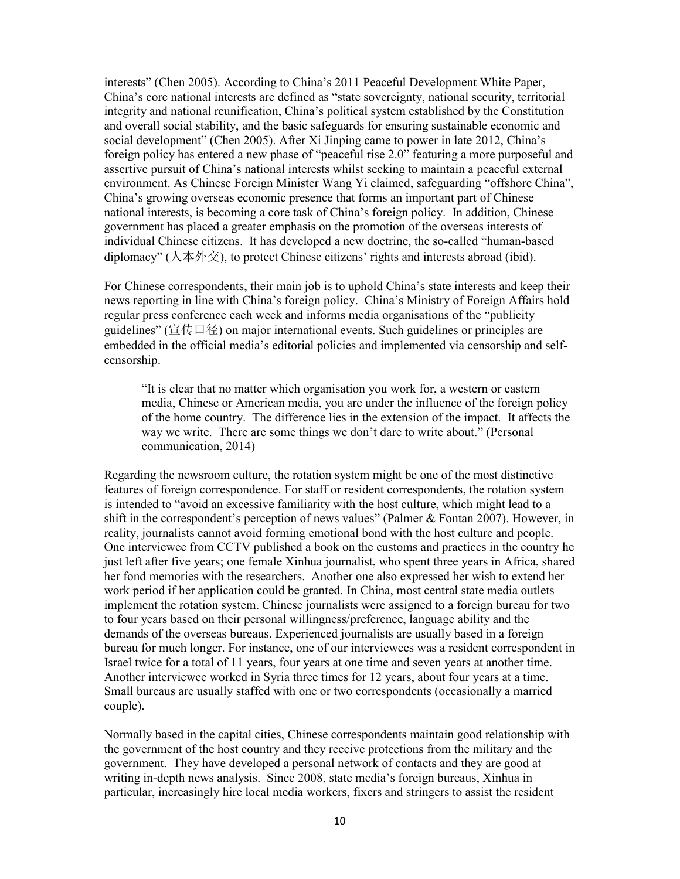interests" (Chen 2005). According to China's 2011 Peaceful Development White Paper, China's core national interests are defined as "state sovereignty, national security, territorial integrity and national reunification, China's political system established by the Constitution and overall social stability, and the basic safeguards for ensuring sustainable economic and social development" (Chen 2005). After Xi Jinping came to power in late 2012, China's foreign policy has entered a new phase of "peaceful rise 2.0" featuring a more purposeful and assertive pursuit of China's national interests whilst seeking to maintain a peaceful external environment. As Chinese Foreign Minister Wang Yi claimed, safeguarding "offshore China", China's growing overseas economic presence that forms an important part of Chinese national interests, is becoming a core task of China's foreign policy. In addition, Chinese government has placed a greater emphasis on the promotion of the overseas interests of individual Chinese citizens. It has developed a new doctrine, the so-called "human-based diplomacy" (人本外交), to protect Chinese citizens' rights and interests abroad (ibid).

For Chinese correspondents, their main job is to uphold China's state interests and keep their news reporting in line with China's foreign policy. China's Ministry of Foreign Affairs hold regular press conference each week and informs media organisations of the "publicity guidelines" (宣传口径) on major international events. Such guidelines or principles are embedded in the official media's editorial policies and implemented via censorship and selfcensorship.

"It is clear that no matter which organisation you work for, a western or eastern media, Chinese or American media, you are under the influence of the foreign policy of the home country. The difference lies in the extension of the impact. It affects the way we write. There are some things we don't dare to write about." (Personal communication, 2014)

Regarding the newsroom culture, the rotation system might be one of the most distinctive features of foreign correspondence. For staff or resident correspondents, the rotation system is intended to "avoid an excessive familiarity with the host culture, which might lead to a shift in the correspondent's perception of news values" (Palmer & Fontan 2007). However, in reality, journalists cannot avoid forming emotional bond with the host culture and people. One interviewee from CCTV published a book on the customs and practices in the country he just left after five years; one female Xinhua journalist, who spent three years in Africa, shared her fond memories with the researchers. Another one also expressed her wish to extend her work period if her application could be granted. In China, most central state media outlets implement the rotation system. Chinese journalists were assigned to a foreign bureau for two to four years based on their personal willingness/preference, language ability and the demands of the overseas bureaus. Experienced journalists are usually based in a foreign bureau for much longer. For instance, one of our interviewees was a resident correspondent in Israel twice for a total of 11 years, four years at one time and seven years at another time. Another interviewee worked in Syria three times for 12 years, about four years at a time. Small bureaus are usually staffed with one or two correspondents (occasionally a married couple).

Normally based in the capital cities, Chinese correspondents maintain good relationship with the government of the host country and they receive protections from the military and the government. They have developed a personal network of contacts and they are good at writing in-depth news analysis. Since 2008, state media's foreign bureaus, Xinhua in particular, increasingly hire local media workers, fixers and stringers to assist the resident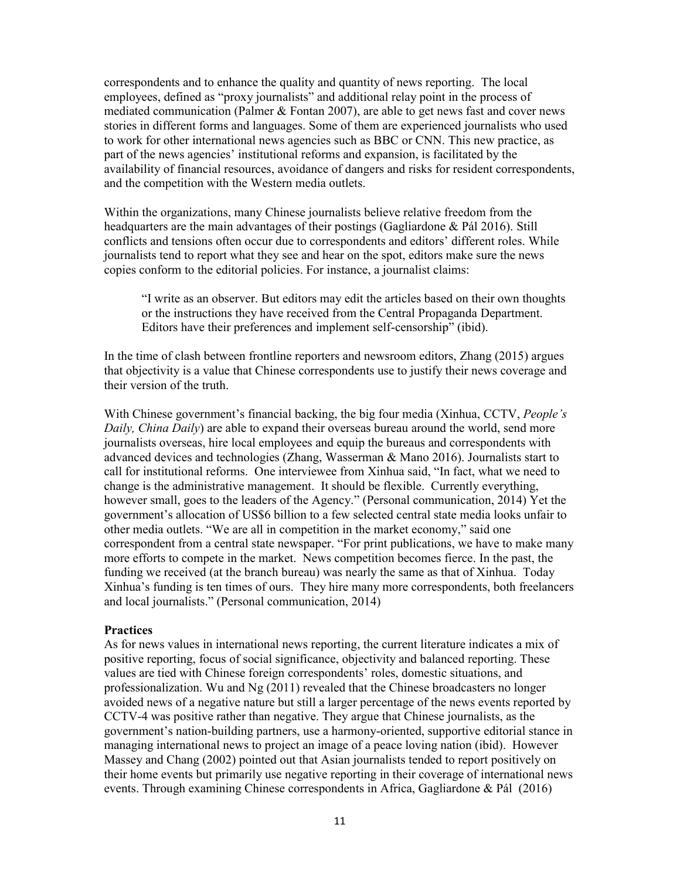correspondents and to enhance the quality and quantity of news reporting. The local employees, defined as "proxy journalists" and additional relay point in the process of mediated communication (Palmer & Fontan 2007), are able to get news fast and cover news stories in different forms and languages. Some of them are experienced journalists who used to work for other international news agencies such as BBC or CNN. This new practice, as part of the news agencies' institutional reforms and expansion, is facilitated by the availability of financial resources, avoidance of dangers and risks for resident correspondents, and the competition with the Western media outlets.

Within the organizations, many Chinese journalists believe relative freedom from the headquarters are the main advantages of their postings (Gagliardone & Pál 2016). Still conflicts and tensions often occur due to correspondents and editors' different roles. While journalists tend to report what they see and hear on the spot, editors make sure the news copies conform to the editorial policies. For instance, a journalist claims:

"I write as an observer. But editors may edit the articles based on their own thoughts or the instructions they have received from the Central Propaganda Department. Editors have their preferences and implement self-censorship" (ibid).

In the time of clash between frontline reporters and newsroom editors, Zhang (2015) argues that objectivity is a value that Chinese correspondents use to justify their news coverage and their version of the truth.

With Chinese government's financial backing, the big four media (Xinhua, CCTV, *People's Daily, China Daily*) are able to expand their overseas bureau around the world, send more journalists overseas, hire local employees and equip the bureaus and correspondents with advanced devices and technologies (Zhang, Wasserman & Mano 2016). Journalists start to call for institutional reforms. One interviewee from Xinhua said, "In fact, what we need to change is the administrative management. It should be flexible. Currently everything, however small, goes to the leaders of the Agency." (Personal communication, 2014) Yet the government's allocation of US\$6 billion to a few selected central state media looks unfair to other media outlets. "We are all in competition in the market economy," said one correspondent from a central state newspaper. "For print publications, we have to make many more efforts to compete in the market. News competition becomes fierce. In the past, the funding we received (at the branch bureau) was nearly the same as that of Xinhua. Today Xinhua's funding is ten times of ours. They hire many more correspondents, both freelancers and local journalists." (Personal communication, 2014)

#### **Practices**

As for news values in international news reporting, the current literature indicates a mix of positive reporting, focus of social significance, objectivity and balanced reporting. These values are tied with Chinese foreign correspondents' roles, domestic situations, and professionalization. Wu and  $Ng(2011)$  revealed that the Chinese broadcasters no longer avoided news of a negative nature but still a larger percentage of the news events reported by CCTV-4 was positive rather than negative. They argue that Chinese journalists, as the government's nation-building partners, use a harmony-oriented, supportive editorial stance in managing international news to project an image of a peace loving nation (ibid). However Massey and Chang (2002) pointed out that Asian journalists tended to report positively on their home events but primarily use negative reporting in their coverage of international news events. Through examining Chinese correspondents in Africa, Gagliardone & Pál (2016)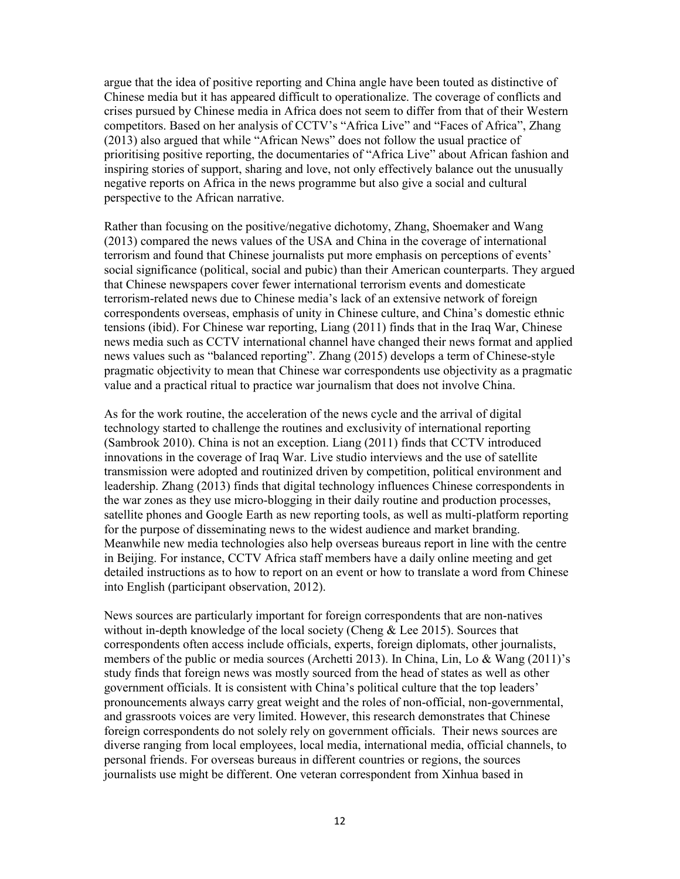argue that the idea of positive reporting and China angle have been touted as distinctive of Chinese media but it has appeared difficult to operationalize. The coverage of conflicts and crises pursued by Chinese media in Africa does not seem to differ from that of their Western competitors. Based on her analysis of CCTV's "Africa Live" and "Faces of Africa", Zhang (2013) also argued that while "African News" does not follow the usual practice of prioritising positive reporting, the documentaries of "Africa Live" about African fashion and inspiring stories of support, sharing and love, not only effectively balance out the unusually negative reports on Africa in the news programme but also give a social and cultural perspective to the African narrative.

Rather than focusing on the positive/negative dichotomy, Zhang, Shoemaker and Wang (2013) compared the news values of the USA and China in the coverage of international terrorism and found that Chinese journalists put more emphasis on perceptions of events' social significance (political, social and pubic) than their American counterparts. They argued that Chinese newspapers cover fewer international terrorism events and domesticate terrorism-related news due to Chinese media's lack of an extensive network of foreign correspondents overseas, emphasis of unity in Chinese culture, and China's domestic ethnic tensions (ibid). For Chinese war reporting, Liang (2011) finds that in the Iraq War, Chinese news media such as CCTV international channel have changed their news format and applied news values such as "balanced reporting". Zhang (2015) develops a term of Chinese-style pragmatic objectivity to mean that Chinese war correspondents use objectivity as a pragmatic value and a practical ritual to practice war journalism that does not involve China.

As for the work routine, the acceleration of the news cycle and the arrival of digital technology started to challenge the routines and exclusivity of international reporting (Sambrook 2010). China is not an exception. Liang (2011) finds that CCTV introduced innovations in the coverage of Iraq War. Live studio interviews and the use of satellite transmission were adopted and routinized driven by competition, political environment and leadership. Zhang (2013) finds that digital technology influences Chinese correspondents in the war zones as they use micro-blogging in their daily routine and production processes, satellite phones and Google Earth as new reporting tools, as well as multi-platform reporting for the purpose of disseminating news to the widest audience and market branding. Meanwhile new media technologies also help overseas bureaus report in line with the centre in Beijing. For instance, CCTV Africa staff members have a daily online meeting and get detailed instructions as to how to report on an event or how to translate a word from Chinese into English (participant observation, 2012).

News sources are particularly important for foreign correspondents that are non-natives without in-depth knowledge of the local society (Cheng  $&$  Lee 2015). Sources that correspondents often access include officials, experts, foreign diplomats, other journalists, members of the public or media sources (Archetti 2013). In China, Lin, Lo & Wang (2011)'s study finds that foreign news was mostly sourced from the head of states as well as other government officials. It is consistent with China's political culture that the top leaders' pronouncements always carry great weight and the roles of non-official, non-governmental, and grassroots voices are very limited. However, this research demonstrates that Chinese foreign correspondents do not solely rely on government officials. Their news sources are diverse ranging from local employees, local media, international media, official channels, to personal friends. For overseas bureaus in different countries or regions, the sources journalists use might be different. One veteran correspondent from Xinhua based in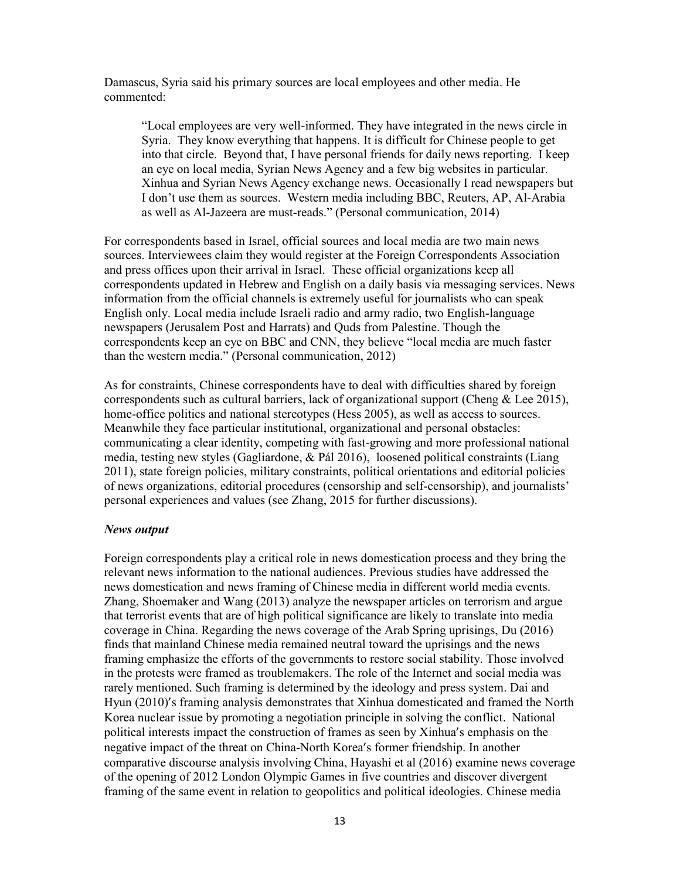Damascus, Syria said his primary sources are local employees and other media. He commented:

"Local employees are very well-informed. They have integrated in the news circle in Syria. They know everything that happens. It is difficult for Chinese people to get into that circle. Beyond that, I have personal friends for daily news reporting. I keep an eye on local media, Syrian News Agency and a few big websites in particular. Xinhua and Syrian News Agency exchange news. Occasionally I read newspapers but I don't use them as sources. Western media including BBC, Reuters, AP, Al-Arabia as well as Al-Jazeera are must-reads." (Personal communication, 2014)

For correspondents based in Israel, official sources and local media are two main news sources. Interviewees claim they would register at the Foreign Correspondents Association and press offices upon their arrival in Israel. These official organizations keep all correspondents updated in Hebrew and English on a daily basis via messaging services. News information from the official channels is extremely useful for journalists who can speak English only. Local media include Israeli radio and army radio, two English-language newspapers (Jerusalem Post and Harrats) and Quds from Palestine. Though the correspondents keep an eye on BBC and CNN, they believe "local media are much faster than the western media." (Personal communication, 2012)

As for constraints, Chinese correspondents have to deal with difficulties shared by foreign correspondents such as cultural barriers, lack of organizational support (Cheng  $& \text{Lee } 2015$ ), home-office politics and national stereotypes (Hess 2005), as well as access to sources. Meanwhile they face particular institutional, organizational and personal obstacles: communicating a clear identity, competing with fast-growing and more professional national media, testing new styles (Gagliardone, & Pál 2016), loosened political constraints (Liang 2011), state foreign policies, military constraints, political orientations and editorial policies of news organizations, editorial procedures (censorship and self-censorship), and journalists' personal experiences and values (see Zhang, 2015 for further discussions).

#### *News output*

Foreign correspondents play a critical role in news domestication process and they bring the relevant news information to the national audiences. Previous studies have addressed the news domestication and news framing of Chinese media in different world media events. Zhang, Shoemaker and Wang (2013) analyze the newspaper articles on terrorism and argue that terrorist events that are of high political significance are likely to translate into media coverage in China. Regarding the news coverage of the Arab Spring uprisings, Du (2016) finds that mainland Chinese media remained neutral toward the uprisings and the news framing emphasize the efforts of the governments to restore social stability. Those involved in the protests were framed as troublemakers. The role of the Internet and social media was rarely mentioned. Such framing is determined by the ideology and press system. Dai and Hyun (2010)'s framing analysis demonstrates that Xinhua domesticated and framed the North Korea nuclear issue by promoting a negotiation principle in solving the conflict. National political interests impact the construction of frames as seen by Xinhua's emphasis on the negative impact of the threat on China-North Korea's former friendship. In another comparative discourse analysis involving China, Hayashi et al (2016) examine news coverage of the opening of 2012 London Olympic Games in five countries and discover divergent framing of the same event in relation to geopolitics and political ideologies. Chinese media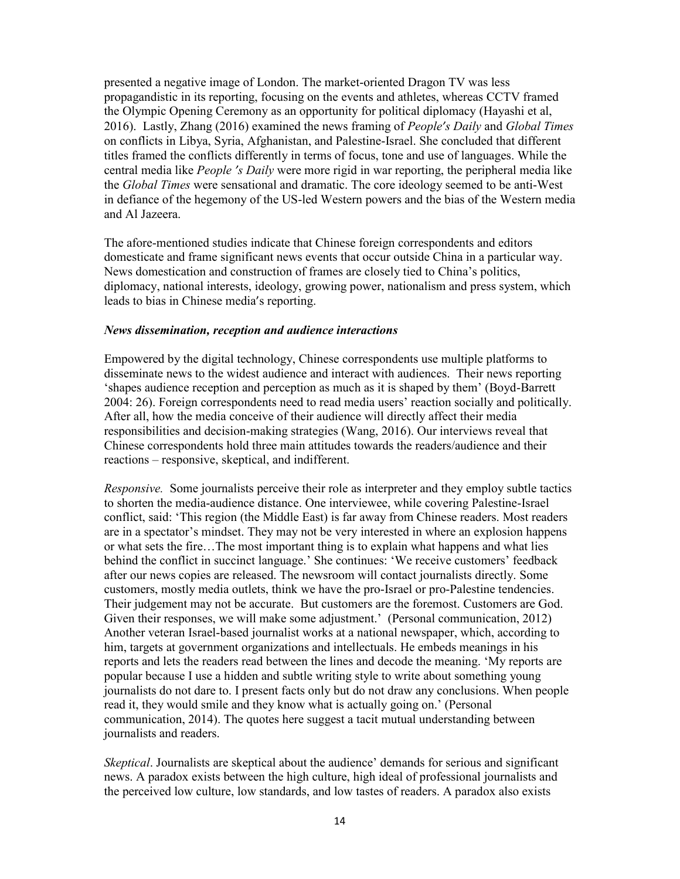presented a negative image of London. The market-oriented Dragon TV was less propagandistic in its reporting, focusing on the events and athletes, whereas CCTV framed the Olympic Opening Ceremony as an opportunity for political diplomacy (Hayashi et al, 2016). Lastly, Zhang (2016) examined the news framing of *People's Daily* and *Global Times* on conflicts in Libya, Syria, Afghanistan, and Palestine-Israel. She concluded that different titles framed the conflicts differently in terms of focus, tone and use of languages. While the central media like *People 's Daily* were more rigid in war reporting, the peripheral media like the *Global Times* were sensational and dramatic. The core ideology seemed to be anti-West in defiance of the hegemony of the US-led Western powers and the bias of the Western media and Al Jazeera.

The afore-mentioned studies indicate that Chinese foreign correspondents and editors domesticate and frame significant news events that occur outside China in a particular way. News domestication and construction of frames are closely tied to China's politics, diplomacy, national interests, ideology, growing power, nationalism and press system, which leads to bias in Chinese media's reporting.

#### *News dissemination, reception and audience interactions*

Empowered by the digital technology, Chinese correspondents use multiple platforms to disseminate news to the widest audience and interact with audiences. Their news reporting 'shapes audience reception and perception as much as it is shaped by them' (Boyd-Barrett 2004: 26). Foreign correspondents need to read media users' reaction socially and politically. After all, how the media conceive of their audience will directly affect their media responsibilities and decision-making strategies (Wang, 2016). Our interviews reveal that Chinese correspondents hold three main attitudes towards the readers/audience and their reactions – responsive, skeptical, and indifferent.

*Responsive.* Some journalists perceive their role as interpreter and they employ subtle tactics to shorten the media-audience distance. One interviewee, while covering Palestine-Israel conflict, said: 'This region (the Middle East) is far away from Chinese readers. Most readers are in a spectator's mindset. They may not be very interested in where an explosion happens or what sets the fire…The most important thing is to explain what happens and what lies behind the conflict in succinct language.' She continues: 'We receive customers' feedback after our news copies are released. The newsroom will contact journalists directly. Some customers, mostly media outlets, think we have the pro-Israel or pro-Palestine tendencies. Their judgement may not be accurate. But customers are the foremost. Customers are God. Given their responses, we will make some adjustment.' (Personal communication, 2012) Another veteran Israel-based journalist works at a national newspaper, which, according to him, targets at government organizations and intellectuals. He embeds meanings in his reports and lets the readers read between the lines and decode the meaning. 'My reports are popular because I use a hidden and subtle writing style to write about something young journalists do not dare to. I present facts only but do not draw any conclusions. When people read it, they would smile and they know what is actually going on.' (Personal communication, 2014). The quotes here suggest a tacit mutual understanding between journalists and readers.

*Skeptical*. Journalists are skeptical about the audience' demands for serious and significant news. A paradox exists between the high culture, high ideal of professional journalists and the perceived low culture, low standards, and low tastes of readers. A paradox also exists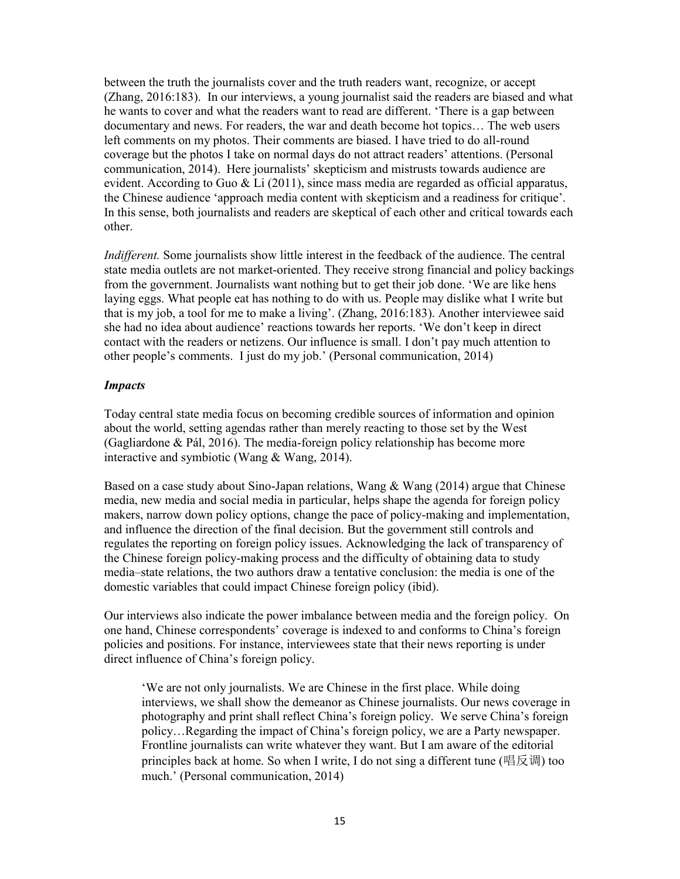between the truth the journalists cover and the truth readers want, recognize, or accept (Zhang, 2016:183). In our interviews, a young journalist said the readers are biased and what he wants to cover and what the readers want to read are different. 'There is a gap between documentary and news. For readers, the war and death become hot topics… The web users left comments on my photos. Their comments are biased. I have tried to do all-round coverage but the photos I take on normal days do not attract readers' attentions. (Personal communication, 2014). Here journalists' skepticism and mistrusts towards audience are evident. According to Guo & Li (2011), since mass media are regarded as official apparatus, the Chinese audience 'approach media content with skepticism and a readiness for critique'. In this sense, both journalists and readers are skeptical of each other and critical towards each other.

*Indifferent.* Some journalists show little interest in the feedback of the audience. The central state media outlets are not market-oriented. They receive strong financial and policy backings from the government. Journalists want nothing but to get their job done. 'We are like hens laying eggs. What people eat has nothing to do with us. People may dislike what I write but that is my job, a tool for me to make a living'. (Zhang, 2016:183). Another interviewee said she had no idea about audience' reactions towards her reports. 'We don't keep in direct contact with the readers or netizens. Our influence is small. I don't pay much attention to other people's comments. I just do my job.' (Personal communication, 2014)

## *Impacts*

Today central state media focus on becoming credible sources of information and opinion about the world, setting agendas rather than merely reacting to those set by the West (Gagliardone & Pál, 2016). The media-foreign policy relationship has become more interactive and symbiotic (Wang & Wang, 2014).

Based on a case study about Sino-Japan relations, Wang  $\&$  Wang (2014) argue that Chinese media, new media and social media in particular, helps shape the agenda for foreign policy makers, narrow down policy options, change the pace of policy-making and implementation, and influence the direction of the final decision. But the government still controls and regulates the reporting on foreign policy issues. Acknowledging the lack of transparency of the Chinese foreign policy-making process and the difficulty of obtaining data to study media–state relations, the two authors draw a tentative conclusion: the media is one of the domestic variables that could impact Chinese foreign policy (ibid).

Our interviews also indicate the power imbalance between media and the foreign policy. On one hand, Chinese correspondents' coverage is indexed to and conforms to China's foreign policies and positions. For instance, interviewees state that their news reporting is under direct influence of China's foreign policy.

'We are not only journalists. We are Chinese in the first place. While doing interviews, we shall show the demeanor as Chinese journalists. Our news coverage in photography and print shall reflect China's foreign policy. We serve China's foreign policy…Regarding the impact of China's foreign policy, we are a Party newspaper. Frontline journalists can write whatever they want. But I am aware of the editorial principles back at home. So when I write, I do not sing a different tune (唱反调) too much.' (Personal communication, 2014)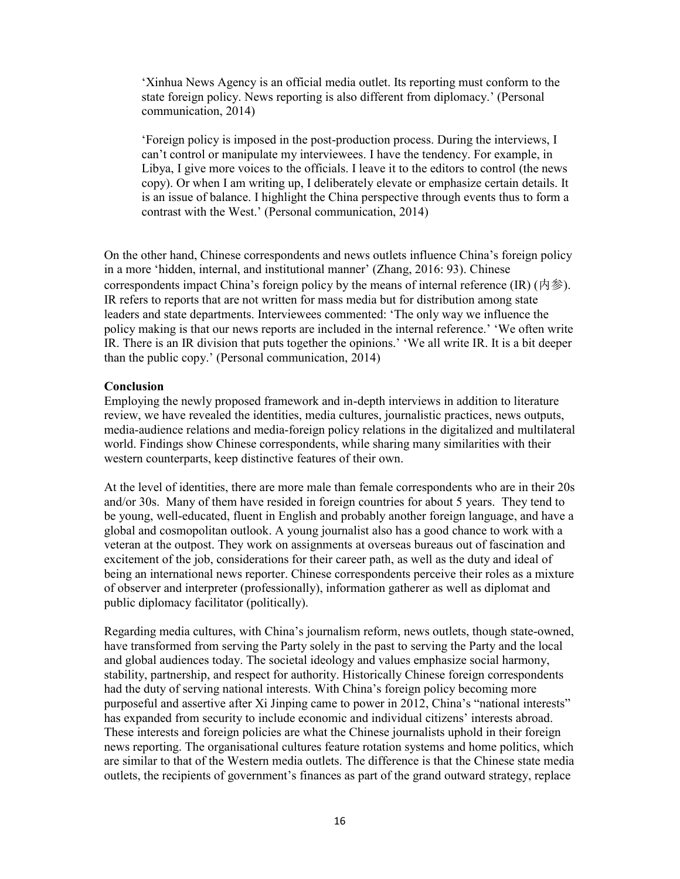'Xinhua News Agency is an official media outlet. Its reporting must conform to the state foreign policy. News reporting is also different from diplomacy.' (Personal communication, 2014)

'Foreign policy is imposed in the post-production process. During the interviews, I can't control or manipulate my interviewees. I have the tendency. For example, in Libya, I give more voices to the officials. I leave it to the editors to control (the news copy). Or when I am writing up, I deliberately elevate or emphasize certain details. It is an issue of balance. I highlight the China perspective through events thus to form a contrast with the West.' (Personal communication, 2014)

On the other hand, Chinese correspondents and news outlets influence China's foreign policy in a more 'hidden, internal, and institutional manner' (Zhang, 2016: 93). Chinese correspondents impact China's foreign policy by the means of internal reference (IR) (内参). IR refers to reports that are not written for mass media but for distribution among state leaders and state departments. Interviewees commented: 'The only way we influence the policy making is that our news reports are included in the internal reference.' 'We often write IR. There is an IR division that puts together the opinions.' 'We all write IR. It is a bit deeper than the public copy.' (Personal communication, 2014)

#### **Conclusion**

Employing the newly proposed framework and in-depth interviews in addition to literature review, we have revealed the identities, media cultures, journalistic practices, news outputs, media-audience relations and media-foreign policy relations in the digitalized and multilateral world. Findings show Chinese correspondents, while sharing many similarities with their western counterparts, keep distinctive features of their own.

At the level of identities, there are more male than female correspondents who are in their 20s and/or 30s. Many of them have resided in foreign countries for about 5 years. They tend to be young, well-educated, fluent in English and probably another foreign language, and have a global and cosmopolitan outlook. A young journalist also has a good chance to work with a veteran at the outpost. They work on assignments at overseas bureaus out of fascination and excitement of the job, considerations for their career path, as well as the duty and ideal of being an international news reporter. Chinese correspondents perceive their roles as a mixture of observer and interpreter (professionally), information gatherer as well as diplomat and public diplomacy facilitator (politically).

Regarding media cultures, with China's journalism reform, news outlets, though state-owned, have transformed from serving the Party solely in the past to serving the Party and the local and global audiences today. The societal ideology and values emphasize social harmony, stability, partnership, and respect for authority. Historically Chinese foreign correspondents had the duty of serving national interests. With China's foreign policy becoming more purposeful and assertive after Xi Jinping came to power in 2012, China's "national interests" has expanded from security to include economic and individual citizens' interests abroad. These interests and foreign policies are what the Chinese journalists uphold in their foreign news reporting. The organisational cultures feature rotation systems and home politics, which are similar to that of the Western media outlets. The difference is that the Chinese state media outlets, the recipients of government's finances as part of the grand outward strategy, replace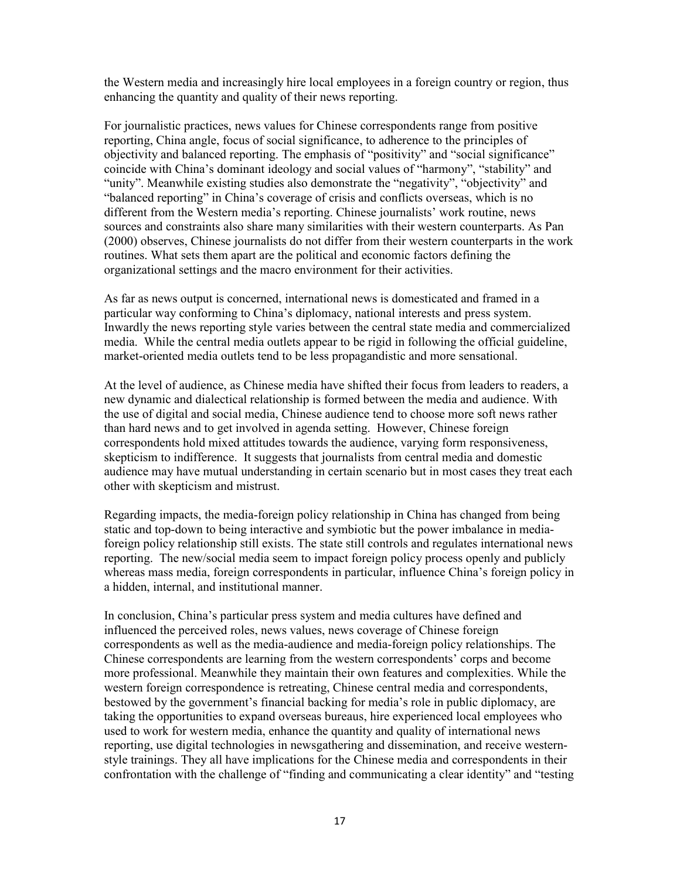the Western media and increasingly hire local employees in a foreign country or region, thus enhancing the quantity and quality of their news reporting.

For journalistic practices, news values for Chinese correspondents range from positive reporting, China angle, focus of social significance, to adherence to the principles of objectivity and balanced reporting. The emphasis of "positivity" and "social significance" coincide with China's dominant ideology and social values of "harmony", "stability" and "unity". Meanwhile existing studies also demonstrate the "negativity", "objectivity" and "balanced reporting" in China's coverage of crisis and conflicts overseas, which is no different from the Western media's reporting. Chinese journalists' work routine, news sources and constraints also share many similarities with their western counterparts. As Pan (2000) observes, Chinese journalists do not differ from their western counterparts in the work routines. What sets them apart are the political and economic factors defining the organizational settings and the macro environment for their activities.

As far as news output is concerned, international news is domesticated and framed in a particular way conforming to China's diplomacy, national interests and press system. Inwardly the news reporting style varies between the central state media and commercialized media. While the central media outlets appear to be rigid in following the official guideline, market-oriented media outlets tend to be less propagandistic and more sensational.

At the level of audience, as Chinese media have shifted their focus from leaders to readers, a new dynamic and dialectical relationship is formed between the media and audience. With the use of digital and social media, Chinese audience tend to choose more soft news rather than hard news and to get involved in agenda setting. However, Chinese foreign correspondents hold mixed attitudes towards the audience, varying form responsiveness, skepticism to indifference. It suggests that journalists from central media and domestic audience may have mutual understanding in certain scenario but in most cases they treat each other with skepticism and mistrust.

Regarding impacts, the media-foreign policy relationship in China has changed from being static and top-down to being interactive and symbiotic but the power imbalance in mediaforeign policy relationship still exists. The state still controls and regulates international news reporting. The new/social media seem to impact foreign policy process openly and publicly whereas mass media, foreign correspondents in particular, influence China's foreign policy in a hidden, internal, and institutional manner.

In conclusion, China's particular press system and media cultures have defined and influenced the perceived roles, news values, news coverage of Chinese foreign correspondents as well as the media-audience and media-foreign policy relationships. The Chinese correspondents are learning from the western correspondents' corps and become more professional. Meanwhile they maintain their own features and complexities. While the western foreign correspondence is retreating, Chinese central media and correspondents, bestowed by the government's financial backing for media's role in public diplomacy, are taking the opportunities to expand overseas bureaus, hire experienced local employees who used to work for western media, enhance the quantity and quality of international news reporting, use digital technologies in newsgathering and dissemination, and receive westernstyle trainings. They all have implications for the Chinese media and correspondents in their confrontation with the challenge of "finding and communicating a clear identity" and "testing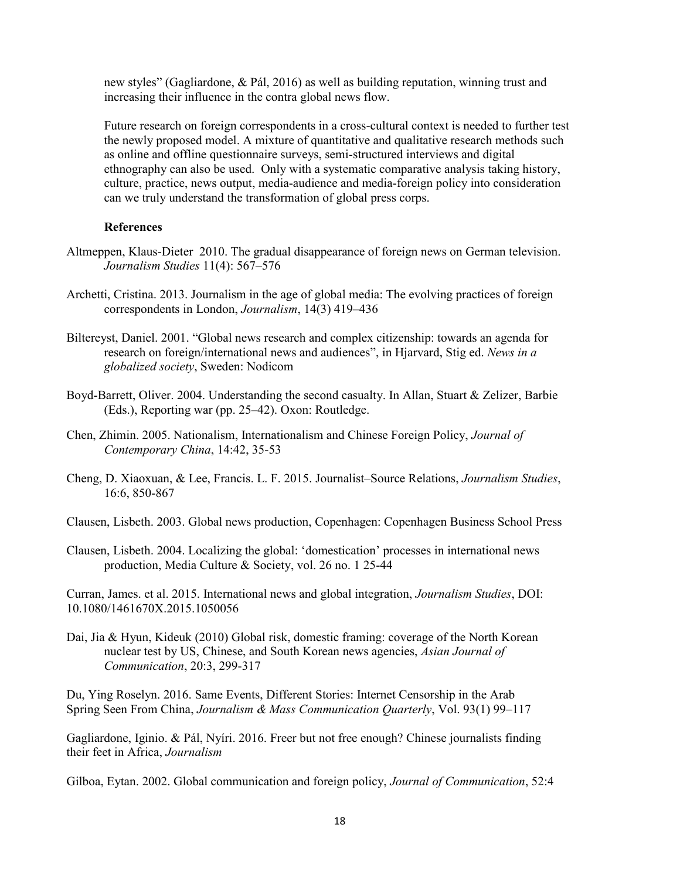new styles" (Gagliardone, & Pál, 2016) as well as building reputation, winning trust and increasing their influence in the contra global news flow.

Future research on foreign correspondents in a cross-cultural context is needed to further test the newly proposed model. A mixture of quantitative and qualitative research methods such as online and offline questionnaire surveys, semi-structured interviews and digital ethnography can also be used. Only with a systematic comparative analysis taking history, culture, practice, news output, media-audience and media-foreign policy into consideration can we truly understand the transformation of global press corps.

## **References**

- Altmeppen, Klaus-Dieter 2010. The gradual disappearance of foreign news on German television. *Journalism Studies* 11(4): 567–576
- Archetti, Cristina. 2013. Journalism in the age of global media: The evolving practices of foreign correspondents in London, *Journalism*, 14(3) 419–436
- Biltereyst, Daniel. 2001. "Global news research and complex citizenship: towards an agenda for research on foreign/international news and audiences", in Hjarvard, Stig ed. *News in a globalized society*, Sweden: Nodicom
- Boyd-Barrett, Oliver. 2004. Understanding the second casualty. In Allan, Stuart & Zelizer, Barbie (Eds.), Reporting war (pp. 25–42). Oxon: Routledge.
- Chen, Zhimin. 2005. Nationalism, Internationalism and Chinese Foreign Policy, *Journal of Contemporary China*, 14:42, 35-53
- Cheng, D. Xiaoxuan, & Lee, Francis. L. F. 2015. Journalist–Source Relations, *Journalism Studies*, 16:6, 850-867
- Clausen, Lisbeth. 2003. Global news production, Copenhagen: Copenhagen Business School Press
- Clausen, Lisbeth. 2004. Localizing the global: 'domestication' processes in international news production, Media Culture & Society, vol. 26 no. 1 25-44

Curran, James. et al. 2015. International news and global integration, *Journalism Studies*, DOI: 10.1080/1461670X.2015.1050056

Dai, Jia & Hyun, Kideuk (2010) Global risk, domestic framing: coverage of the North Korean nuclear test by US, Chinese, and South Korean news agencies, *Asian Journal of Communication*, 20:3, 299-317

Du, Ying Roselyn. 2016. Same Events, Different Stories: Internet Censorship in the Arab Spring Seen From China, *Journalism & Mass Communication Quarterly*, Vol. 93(1) 99–117

Gagliardone, Iginio. & Pál, Nyíri. 2016. Freer but not free enough? Chinese journalists finding their feet in Africa, *Journalism*

Gilboa, Eytan. 2002. Global communication and foreign policy, *Journal of Communication*, 52:4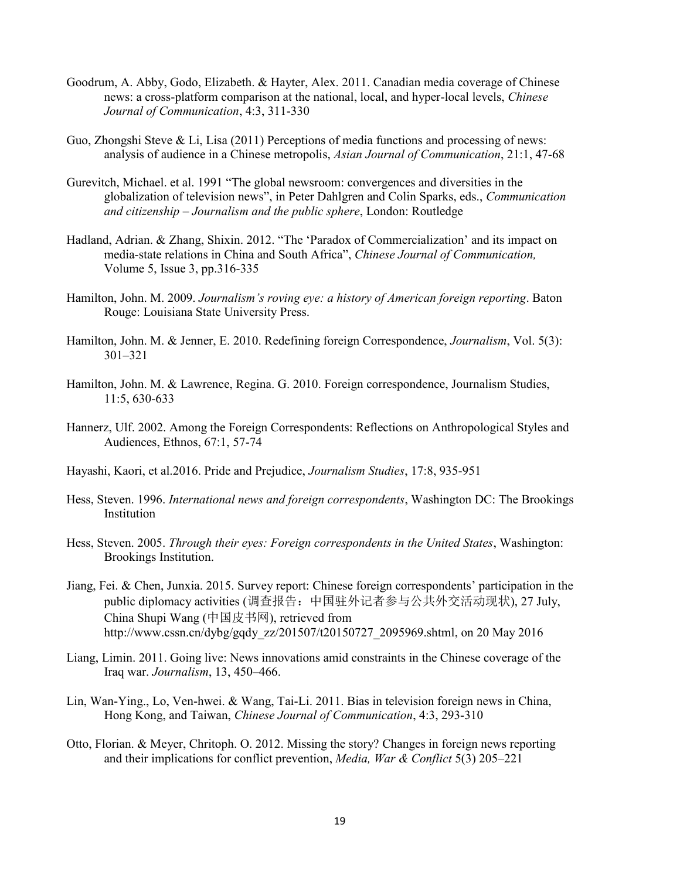- Goodrum, A. Abby, Godo, Elizabeth. & Hayter, Alex. 2011. Canadian media coverage of Chinese news: a cross-platform comparison at the national, local, and hyper-local levels, *Chinese Journal of Communication*, 4:3, 311-330
- Guo, Zhongshi Steve & Li, Lisa (2011) Perceptions of media functions and processing of news: analysis of audience in a Chinese metropolis, *Asian Journal of Communication*, 21:1, 47-68
- Gurevitch, Michael. et al. 1991 "The global newsroom: convergences and diversities in the globalization of television news", in Peter Dahlgren and Colin Sparks, eds., *Communication and citizenship – Journalism and the public sphere*, London: Routledge
- Hadland, Adrian. & Zhang, Shixin. 2012. "The 'Paradox of Commercialization' and its impact on media-state relations in China and South Africa", *Chinese Journal of Communication,* Volume 5, Issue 3, pp.316-335
- Hamilton, John. M. 2009. *Journalism's roving eye: a history of American foreign reporting*. Baton Rouge: Louisiana State University Press.
- Hamilton, John. M. & Jenner, E. 2010. Redefining foreign Correspondence, *Journalism*, Vol. 5(3): 301–321
- Hamilton, John. M. & Lawrence, Regina. G. 2010. Foreign correspondence, Journalism Studies, 11:5, 630-633
- Hannerz, Ulf. 2002. Among the Foreign Correspondents: Reflections on Anthropological Styles and Audiences, Ethnos, 67:1, 57-74
- Hayashi, Kaori, et al.2016. Pride and Prejudice, *Journalism Studies*, 17:8, 935-951
- Hess, Steven. 1996. *International news and foreign correspondents*, Washington DC: The Brookings Institution
- Hess, Steven. 2005. *Through their eyes: Foreign correspondents in the United States*, Washington: Brookings Institution.
- Jiang, Fei. & Chen, Junxia. 2015. Survey report: Chinese foreign correspondents' participation in the public diplomacy activities (调查报告:中国驻外记者参与公共外交活动现状), 27 July, China Shupi Wang (中国皮书网), retrieved from http://www.cssn.cn/dybg/gqdy\_zz/201507/t20150727\_2095969.shtml, on 20 May 2016
- Liang, Limin. 2011. Going live: News innovations amid constraints in the Chinese coverage of the Iraq war. *Journalism*, 13, 450–466.
- Lin, Wan-Ying., Lo, Ven-hwei. & Wang, Tai-Li. 2011. Bias in television foreign news in China, Hong Kong, and Taiwan, *Chinese Journal of Communication*, 4:3, 293-310
- Otto, Florian. & Meyer, Chritoph. O. 2012. Missing the story? Changes in foreign news reporting and their implications for conflict prevention, *Media, War & Conflict* 5(3) 205–221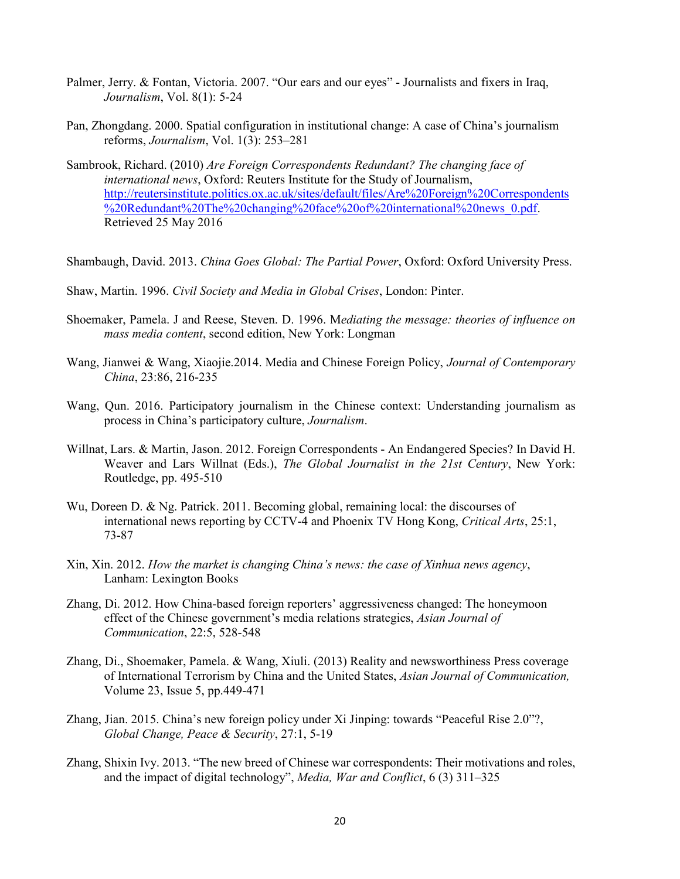- Palmer, Jerry. & Fontan, Victoria. 2007. "Our ears and our eyes" Journalists and fixers in Iraq, *Journalism*, Vol. 8(1): 5-24
- Pan, Zhongdang. 2000. Spatial configuration in institutional change: A case of China's journalism reforms, *Journalism*, Vol. 1(3): 253–281
- Sambrook, Richard. (2010) *Are Foreign Correspondents Redundant? The changing face of international news*, Oxford: Reuters Institute for the Study of Journalism, http://reutersinstitute.politics.ox.ac.uk/sites/default/files/Are%20Foreign%20Correspondents %20Redundant%20The%20changing%20face%20of%20international%20news\_0.pdf. Retrieved 25 May 2016
- Shambaugh, David. 2013. *China Goes Global: The Partial Power*, Oxford: Oxford University Press.
- Shaw, Martin. 1996. *Civil Society and Media in Global Crises*, London: Pinter.
- Shoemaker, Pamela. J and Reese, Steven. D. 1996. M*ediating the message: theories of influence on mass media content*, second edition, New York: Longman
- Wang, Jianwei & Wang, Xiaojie.2014. Media and Chinese Foreign Policy, *Journal of Contemporary China*, 23:86, 216-235
- Wang, Qun. 2016. Participatory journalism in the Chinese context: Understanding journalism as process in China's participatory culture, *Journalism*.
- Willnat, Lars. & Martin, Jason. 2012. Foreign Correspondents An Endangered Species? In David H. Weaver and Lars Willnat (Eds.), *The Global Journalist in the 21st Century*, New York: Routledge, pp. 495-510
- Wu, Doreen D. & Ng. Patrick. 2011. Becoming global, remaining local: the discourses of international news reporting by CCTV-4 and Phoenix TV Hong Kong, *Critical Arts*, 25:1, 73-87
- Xin, Xin. 2012. *How the market is changing China's news: the case of Xinhua news agency*, Lanham: Lexington Books
- Zhang, Di. 2012. How China-based foreign reporters' aggressiveness changed: The honeymoon effect of the Chinese government's media relations strategies, *Asian Journal of Communication*, 22:5, 528-548
- Zhang, Di., Shoemaker, Pamela. & Wang, Xiuli. (2013) Reality and newsworthiness Press coverage of International Terrorism by China and the United States, *Asian Journal of Communication,* Volume 23, Issue 5, pp.449-471
- Zhang, Jian. 2015. China's new foreign policy under Xi Jinping: towards "Peaceful Rise 2.0"?, *Global Change, Peace & Security*, 27:1, 5-19
- Zhang, Shixin Ivy. 2013. "The new breed of Chinese war correspondents: Their motivations and roles, and the impact of digital technology", *Media, War and Conflict*, 6 (3) 311–325